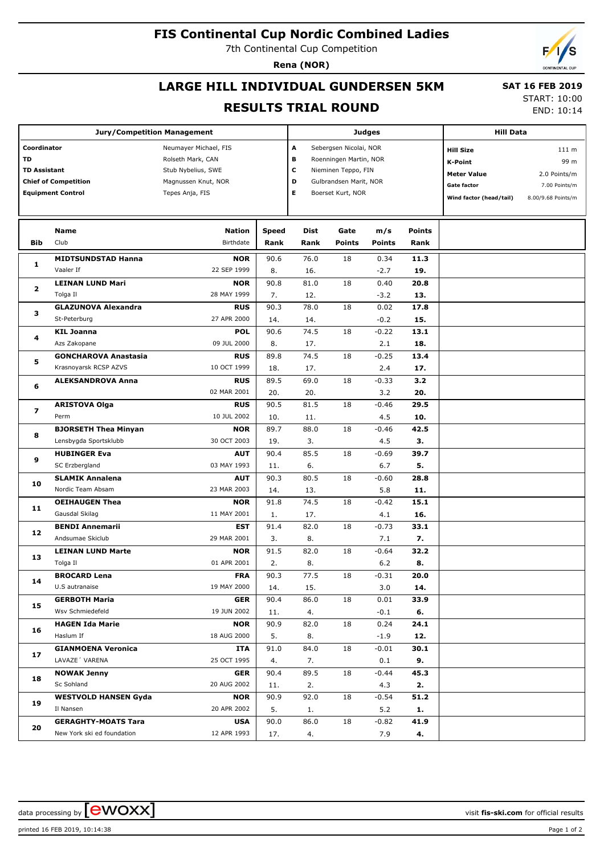### **FIS Continental Cup Nordic Combined Ladies**

7th Continental Cup Competition

**Rena (NOR)**

# **LARGE HILL INDIVIDUAL GUNDERSEN 5KM**

 **SAT 16 FEB 2019**

#### **RESULTS TRIAL ROUND**

START: 10:00

|                             | <b>Jury/Competition Management</b> |                       |                          | <b>Judges</b>          | <b>Hill Data</b>       |                  |               |                         |                    |
|-----------------------------|------------------------------------|-----------------------|--------------------------|------------------------|------------------------|------------------|---------------|-------------------------|--------------------|
| Coordinator                 |                                    | Neumayer Michael, FIS | Α                        | Sebergsen Nicolai, NOR |                        | <b>Hill Size</b> | 111 m         |                         |                    |
| <b>TD</b>                   |                                    | Rolseth Mark, CAN     |                          | в                      | Roenningen Martin, NOR |                  |               | <b>K-Point</b>          | 99 m               |
| <b>TD Assistant</b>         |                                    | Stub Nybelius, SWE    | c<br>Nieminen Teppo, FIN |                        |                        |                  |               |                         |                    |
| <b>Chief of Competition</b> |                                    | Magnussen Knut, NOR   |                          | D                      | Gulbrandsen Marit, NOR |                  |               | <b>Meter Value</b>      | 2.0 Points/m       |
|                             | <b>Equipment Control</b>           | Tepes Anja, FIS       | Е                        | Boerset Kurt, NOR      |                        |                  | Gate factor   | 7.00 Points/m           |                    |
|                             |                                    |                       |                          |                        |                        |                  |               | Wind factor (head/tail) | 8.00/9.68 Points/m |
|                             |                                    |                       |                          |                        |                        |                  |               |                         |                    |
|                             | Name                               | <b>Nation</b>         | <b>Speed</b>             | Dist                   | Gate                   | m/s              | <b>Points</b> |                         |                    |
| Bib                         | Club                               | Birthdate             | Rank                     | Rank                   | <b>Points</b>          | <b>Points</b>    | Rank          |                         |                    |
|                             | <b>MIDTSUNDSTAD Hanna</b>          | <b>NOR</b>            | 90.6                     | 76.0                   | 18                     | 0.34             | 11.3          |                         |                    |
| 1                           | Vaaler If                          | 22 SEP 1999           | 8.                       | 16.                    |                        | $-2.7$           | 19.           |                         |                    |
|                             | <b>LEINAN LUND Mari</b>            | <b>NOR</b>            | 90.8                     | 81.0                   | 18                     | 0.40             | 20.8          |                         |                    |
| $\overline{\mathbf{2}}$     | Tolga Il                           | 28 MAY 1999           | 7.                       | 12.                    |                        | $-3.2$           | 13.           |                         |                    |
| 3                           | <b>GLAZUNOVA Alexandra</b>         | <b>RUS</b>            | 90.3                     | 78.0                   | 18                     | 0.02             | 17.8          |                         |                    |
|                             | St-Peterburg                       | 27 APR 2000           | 14.                      | 14.                    |                        | $-0.2$           | 15.           |                         |                    |
|                             | <b>KIL Joanna</b>                  | <b>POL</b>            | 90.6                     | 74.5                   | 18                     | $-0.22$          | 13.1          |                         |                    |
| 4                           | Azs Zakopane                       | 09 JUL 2000           | 8.                       | 17.                    |                        | 2.1              | 18.           |                         |                    |
|                             | <b>GONCHAROVA Anastasia</b>        | <b>RUS</b>            | 89.8                     | 74.5                   | 18                     | $-0.25$          | 13.4          |                         |                    |
| 5                           | Krasnoyarsk RCSP AZVS              | 10 OCT 1999           | 18.                      | 17.                    |                        | 2.4              | 17.           |                         |                    |
|                             | <b>ALEKSANDROVA Anna</b>           | <b>RUS</b>            | 89.5                     | 69.0                   | 18                     | $-0.33$          | 3.2           |                         |                    |
| 6                           |                                    | 02 MAR 2001           | 20.                      | 20.                    |                        | 3.2              | 20.           |                         |                    |
| 7                           | <b>ARISTOVA Olga</b>               | <b>RUS</b>            | 90.5                     | 81.5                   | 18                     | $-0.46$          | 29.5          |                         |                    |
|                             | Perm                               | 10 JUL 2002           | 10.                      | 11.                    |                        | 4.5              | 10.           |                         |                    |
| 8                           | <b>BJORSETH Thea Minyan</b>        | <b>NOR</b>            | 89.7                     | 88.0                   | 18                     | $-0.46$          | 42.5          |                         |                    |
|                             | Lensbygda Sportsklubb              | 30 OCT 2003           | 19.                      | 3.                     |                        | 4.5              | З.            |                         |                    |
| 9                           | <b>HUBINGER Eva</b>                | <b>AUT</b>            | 90.4                     | 85.5                   | 18                     | $-0.69$          | 39.7          |                         |                    |
|                             | SC Erzbergland                     | 03 MAY 1993           | 11.                      | 6.                     |                        | 6.7              | 5.            |                         |                    |
|                             | <b>SLAMIK Annalena</b>             | <b>AUT</b>            | 90.3                     | 80.5                   | 18                     | $-0.60$          | 28.8          |                         |                    |
| 10                          | Nordic Team Absam                  | 23 MAR 2003           |                          |                        |                        | 5.8              | 11.           |                         |                    |
|                             |                                    |                       | 14.                      | 13.                    |                        |                  |               |                         |                    |
| 11                          | <b>OEIHAUGEN Thea</b>              | <b>NOR</b>            | 91.8                     | 74.5                   | 18                     | $-0.42$          | 15.1          |                         |                    |
|                             | Gausdal Skilag                     | 11 MAY 2001           | 1.                       | 17.                    |                        | 4.1              | 16.           |                         |                    |
| 12                          | <b>BENDI Annemarii</b>             | <b>EST</b>            | 91.4                     | 82.0                   | 18                     | $-0.73$          | 33.1          |                         |                    |
|                             | Andsumae Skiclub                   | 29 MAR 2001           | 3.                       | 8.                     |                        | 7.1              | 7.            |                         |                    |
| 13                          | <b>LEINAN LUND Marte</b>           | <b>NOR</b>            | 91.5                     | 82.0                   | 18                     | $-0.64$          | 32.2          |                         |                    |
|                             | Tolga Il                           | 01 APR 2001           | 2.                       | 8.                     |                        | 6.2              | 8.            |                         |                    |
| 14                          | <b>BROCARD Lena</b>                | <b>FRA</b>            | 90.3                     | 77.5                   | 18                     | $-0.31$          | 20.0          |                         |                    |
|                             | U.S autranaise                     | 19 MAY 2000           | 14.                      | 15.                    |                        | 3.0              | 14.           |                         |                    |
| 15                          | <b>GERBOTH Maria</b>               | <b>GER</b>            | 90.4                     | 86.0                   | 18                     | 0.01             | 33.9          |                         |                    |
|                             | Wsv Schmiedefeld                   | 19 JUN 2002           | 11.                      | 4.                     |                        | $-0.1$           | 6.            |                         |                    |
| 16                          | <b>HAGEN Ida Marie</b>             | <b>NOR</b>            | 90.9                     | 82.0                   | 18                     | 0.24             | 24.1          |                         |                    |
|                             | Haslum If                          | 18 AUG 2000           | 5.                       | 8.                     |                        | $-1.9$           | 12.           |                         |                    |
| 17                          | <b>GIANMOENA Veronica</b>          | ITA                   | 91.0                     | 84.0                   | 18                     | $-0.01$          | 30.1          |                         |                    |
|                             | LAVAZE 'VARENA                     | 25 OCT 1995           | 4.                       | 7.                     |                        | 0.1              | 9.            |                         |                    |
| 18                          | <b>NOWAK Jenny</b>                 | <b>GER</b>            | 90.4                     | 89.5                   | 18                     | $-0.44$          | 45.3          |                         |                    |
|                             | Sc Sohland                         | 20 AUG 2002           | 11.                      | 2.                     |                        | 4.3              | 2.            |                         |                    |
| 19                          | <b>WESTVOLD HANSEN Gyda</b>        | <b>NOR</b>            | 90.9                     | 92.0                   | 18                     | $-0.54$          | 51.2          |                         |                    |
|                             | Il Nansen                          | 20 APR 2002           | 5.                       | 1.                     |                        | 5.2              | 1.            |                         |                    |
| 20                          | <b>GERAGHTY-MOATS Tara</b>         | <b>USA</b>            | 90.0                     | 86.0                   | 18                     | $-0.82$          | 41.9          |                         |                    |
|                             | New York ski ed foundation         | 12 APR 1993           | 17.                      | 4.                     |                        | 7.9              | 4.            |                         |                    |

printed 16 FEB 2019, 10:14:38 Page 1 of 2

data processing by **CWOXX**  $\blacksquare$